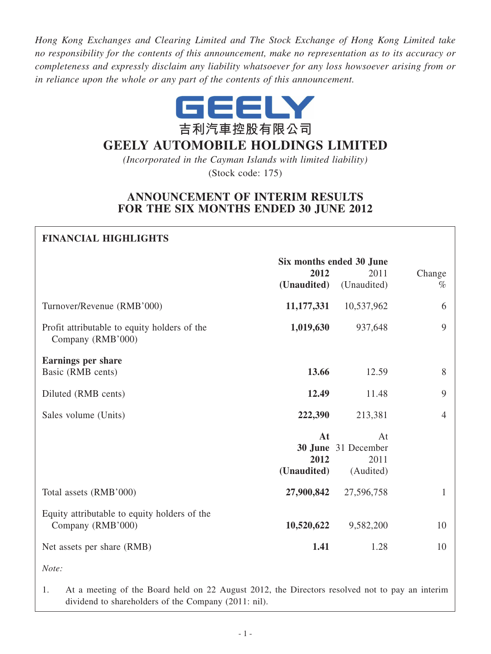*Hong Kong Exchanges and Clearing Limited and The Stock Exchange of Hong Kong Limited take no responsibility for the contents of this announcement, make no representation as to its accuracy or completeness and expressly disclaim any liability whatsoever for any loss howsoever arising from or in reliance upon the whole or any part of the contents of this announcement.*



## **gEELY AUTOMOBILE HOLDINgS LIMITED**

*(Incorporated in the Cayman Islands with limited liability)* (Stock code: 175)

## **ANNOUNCEMENT OF INTERIM RESULTS FOR THE SIX MONTHS ENDED 30 JUNE 2012**

| <b>FINANCIAL HIGHLIGHTS</b>                                       |                          |                     |                |  |
|-------------------------------------------------------------------|--------------------------|---------------------|----------------|--|
|                                                                   | Six months ended 30 June |                     |                |  |
|                                                                   | 2012                     | 2011                | Change         |  |
|                                                                   | (Unaudited)              | (Unaudited)         | $\%$           |  |
| Turnover/Revenue (RMB'000)                                        | 11,177,331               | 10,537,962          | 6              |  |
| Profit attributable to equity holders of the<br>Company (RMB'000) | 1,019,630                | 937,648             | 9              |  |
| Earnings per share                                                |                          |                     |                |  |
| Basic (RMB cents)                                                 | 13.66                    | 12.59               | 8              |  |
| Diluted (RMB cents)                                               | 12.49                    | 11.48               | 9              |  |
| Sales volume (Units)                                              | 222,390                  | 213,381             | $\overline{4}$ |  |
|                                                                   | At                       | At                  |                |  |
|                                                                   |                          | 30 June 31 December |                |  |
|                                                                   | 2012                     | 2011                |                |  |
|                                                                   | (Unaudited)              | (Audited)           |                |  |
| Total assets (RMB'000)                                            | 27,900,842               | 27,596,758          | $\mathbf{1}$   |  |
| Equity attributable to equity holders of the<br>Company (RMB'000) | 10,520,622               | 9,582,200           | 10             |  |
| Net assets per share (RMB)                                        | 1.41                     | 1.28                | 10             |  |

*Note:*

1. At a meeting of the Board held on 22 August 2012, the Directors resolved not to pay an interim dividend to shareholders of the Company (2011: nil).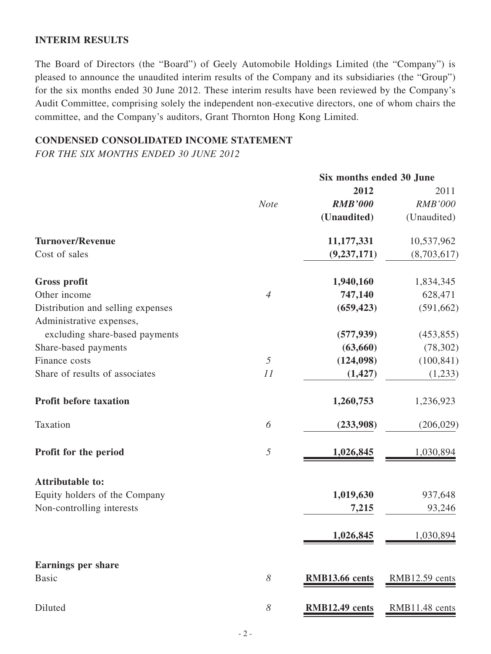#### **INTERIM RESULTS**

The Board of Directors (the "Board") of Geely Automobile Holdings Limited (the "Company") is pleased to announce the unaudited interim results of the Company and its subsidiaries (the "Group") for the six months ended 30 June 2012. These interim results have been reviewed by the Company's Audit Committee, comprising solely the independent non-executive directors, one of whom chairs the committee, and the Company's auditors, Grant Thornton Hong Kong Limited.

## **CONDENSED CONSOLIDATED INCOME STATEMENT**

*FOR THE SIX MONTHS ENDED 30 JUNE 2012*

|                                   |                | Six months ended 30 June |                |
|-----------------------------------|----------------|--------------------------|----------------|
|                                   |                | 2012                     | 2011           |
|                                   | <b>Note</b>    | <b>RMB'000</b>           | <b>RMB'000</b> |
|                                   |                | (Unaudited)              | (Unaudited)    |
| <b>Turnover/Revenue</b>           |                | 11,177,331               | 10,537,962     |
| Cost of sales                     |                | (9, 237, 171)            | (8,703,617)    |
| Gross profit                      |                | 1,940,160                | 1,834,345      |
| Other income                      | $\overline{4}$ | 747,140                  | 628,471        |
| Distribution and selling expenses |                | (659, 423)               | (591, 662)     |
| Administrative expenses,          |                |                          |                |
| excluding share-based payments    |                | (577, 939)               | (453, 855)     |
| Share-based payments              |                | (63, 660)                | (78, 302)      |
| Finance costs                     | 5              | (124, 098)               | (100, 841)     |
| Share of results of associates    | 11             | (1, 427)                 | (1,233)        |
| <b>Profit before taxation</b>     |                | 1,260,753                | 1,236,923      |
| Taxation                          | 6              | (233,908)                | (206, 029)     |
| Profit for the period             | 5              | 1,026,845                | 1,030,894      |
| <b>Attributable to:</b>           |                |                          |                |
| Equity holders of the Company     |                | 1,019,630                | 937,648        |
| Non-controlling interests         |                | 7,215                    | 93,246         |
|                                   |                |                          |                |
|                                   |                | 1,026,845                | 1,030,894      |
| <b>Earnings per share</b>         |                |                          |                |
| <b>Basic</b>                      | 8              | RMB13.66 cents           | RMB12.59 cents |
|                                   |                |                          |                |
| Diluted                           | 8              | RMB12.49 cents           | RMB11.48 cents |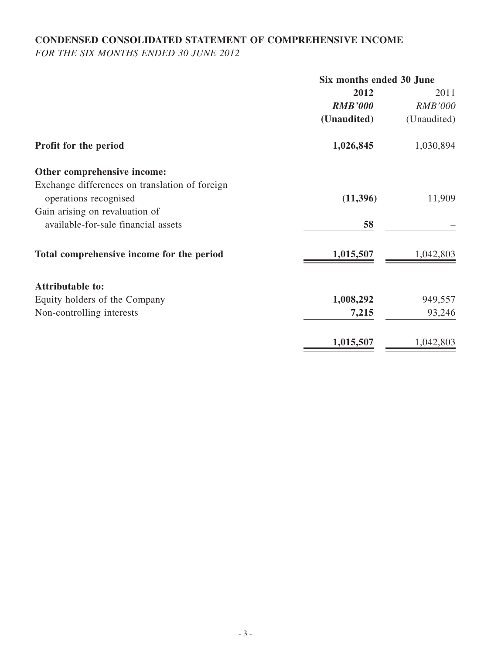# **CONDENSED CONSOLIDATED STATEMENT OF COMPREHENSIVE INCOME**

*FOR THE SIX MONTHS ENDED 30 JUNE 2012*

|                                                | Six months ended 30 June |                |  |
|------------------------------------------------|--------------------------|----------------|--|
|                                                | 2012                     | 2011           |  |
|                                                | <b>RMB'000</b>           | <b>RMB'000</b> |  |
|                                                | (Unaudited)              | (Unaudited)    |  |
| Profit for the period                          | 1,026,845                | 1,030,894      |  |
| Other comprehensive income:                    |                          |                |  |
| Exchange differences on translation of foreign |                          |                |  |
| operations recognised                          | (11,396)                 | 11,909         |  |
| Gain arising on revaluation of                 |                          |                |  |
| available-for-sale financial assets            | 58                       |                |  |
| Total comprehensive income for the period      | 1,015,507                | 1,042,803      |  |
| <b>Attributable to:</b>                        |                          |                |  |
| Equity holders of the Company                  | 1,008,292                | 949,557        |  |
| Non-controlling interests                      | 7,215                    | 93,246         |  |
|                                                | 1,015,507                | 1,042,803      |  |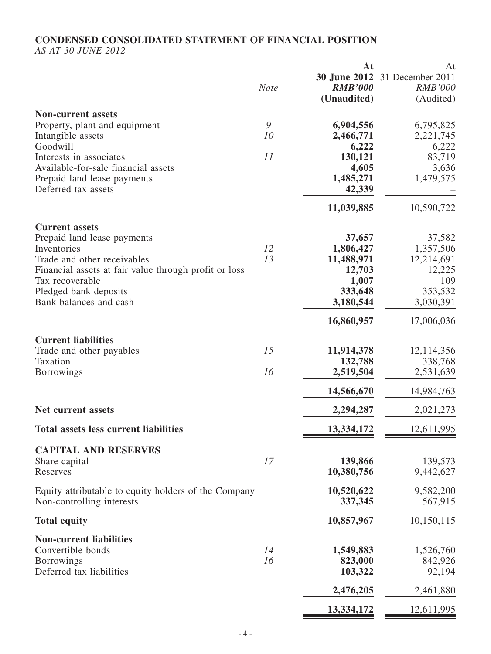## **CONDENSED CONSOLIDATED STATEMENT OF FINANCIAL POSITION**

*AS AT 30 JUNE 2012*

|                                                       | <b>Note</b> | At<br><b>RMB'000</b><br>(Unaudited) | At<br><b>30 June 2012</b> 31 December 2011<br><b>RMB'000</b><br>(Audited) |
|-------------------------------------------------------|-------------|-------------------------------------|---------------------------------------------------------------------------|
| <b>Non-current assets</b>                             |             |                                     |                                                                           |
| Property, plant and equipment<br>Intangible assets    | 9<br>10     | 6,904,556<br>2,466,771              | 6,795,825<br>2,221,745                                                    |
| Goodwill                                              |             | 6,222                               | 6,222                                                                     |
| Interests in associates                               | 11          | 130,121                             | 83,719                                                                    |
| Available-for-sale financial assets                   |             | 4,605                               | 3,636                                                                     |
| Prepaid land lease payments<br>Deferred tax assets    |             | 1,485,271<br>42,339                 | 1,479,575                                                                 |
|                                                       |             | 11,039,885                          | 10,590,722                                                                |
| <b>Current assets</b><br>Prepaid land lease payments  |             | 37,657                              | 37,582                                                                    |
| Inventories                                           | 12          | 1,806,427                           | 1,357,506                                                                 |
| Trade and other receivables                           | 13          | 11,488,971                          | 12,214,691                                                                |
| Financial assets at fair value through profit or loss |             | 12,703                              | 12,225                                                                    |
| Tax recoverable                                       |             | 1,007                               | 109                                                                       |
| Pledged bank deposits<br>Bank balances and cash       |             | 333,648<br>3,180,544                | 353,532<br>3,030,391                                                      |
|                                                       |             | 16,860,957                          | 17,006,036                                                                |
| <b>Current liabilities</b>                            | 15          | 11,914,378                          | 12,114,356                                                                |
| Trade and other payables<br>Taxation                  |             | 132,788                             | 338,768                                                                   |
| <b>Borrowings</b>                                     | 16          | 2,519,504                           | 2,531,639                                                                 |
|                                                       |             | 14,566,670                          | 14,984,763                                                                |
| Net current assets                                    |             | 2,294,287                           | 2,021,273                                                                 |
| <b>Total assets less current liabilities</b>          |             | 13,334,172                          | 12,611,995                                                                |
| <b>CAPITAL AND RESERVES</b>                           |             |                                     |                                                                           |
| Share capital<br>Reserves                             | 17          | 139,866<br>10,380,756               | 139,573<br>9,442,627                                                      |
| Equity attributable to equity holders of the Company  |             | 10,520,622                          | 9,582,200                                                                 |
| Non-controlling interests                             |             | 337,345                             | 567,915                                                                   |
| <b>Total equity</b>                                   |             | 10,857,967                          | 10,150,115                                                                |
| <b>Non-current liabilities</b>                        |             |                                     |                                                                           |
| Convertible bonds                                     | 14          | 1,549,883                           | 1,526,760                                                                 |
| Borrowings<br>Deferred tax liabilities                | 16          | 823,000<br>103,322                  | 842,926<br>92,194                                                         |
|                                                       |             | 2,476,205                           | 2,461,880                                                                 |
|                                                       |             | 13,334,172                          | 12,611,995                                                                |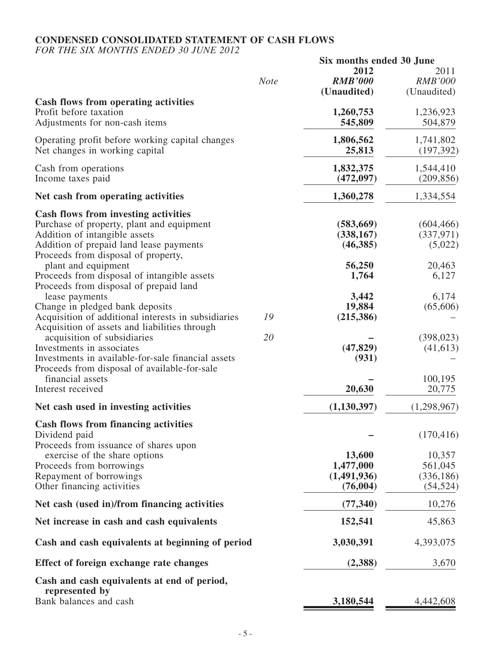## **CONDENSED CONSOLIDATED STATEMENT OF CASH FLOWs**

*FOR THE SIX MONTHS ENDED 30 JUNE 2012*

|                                                                                                                                                                                                             |             | Six months ended 30 June                        |                                              |  |
|-------------------------------------------------------------------------------------------------------------------------------------------------------------------------------------------------------------|-------------|-------------------------------------------------|----------------------------------------------|--|
|                                                                                                                                                                                                             | <b>Note</b> | 2012<br><b>RMB'000</b><br>(Unaudited)           | 2011<br><b>RMB'000</b><br>(Unaudited)        |  |
| <b>Cash flows from operating activities</b><br>Profit before taxation<br>Adjustments for non-cash items                                                                                                     |             | 1,260,753<br>545,809                            | 1,236,923<br>504,879                         |  |
| Operating profit before working capital changes<br>Net changes in working capital                                                                                                                           |             | 1,806,562<br>25,813                             | 1,741,802<br>(197, 392)                      |  |
| Cash from operations<br>Income taxes paid                                                                                                                                                                   |             | 1,832,375<br>(472, 097)                         | 1,544,410<br>(209, 856)                      |  |
| Net cash from operating activities                                                                                                                                                                          |             | 1,360,278                                       | 1,334,554                                    |  |
| <b>Cash flows from investing activities</b><br>Purchase of property, plant and equipment<br>Addition of intangible assets<br>Addition of prepaid land lease payments<br>Proceeds from disposal of property, |             | (583, 669)<br>(338, 167)<br>(46, 385)           | (604, 466)<br>(337, 971)<br>(5,022)          |  |
| plant and equipment<br>Proceeds from disposal of intangible assets<br>Proceeds from disposal of prepaid land                                                                                                |             | 56,250<br>1,764                                 | 20,463<br>6,127                              |  |
| lease payments<br>Change in pledged bank deposits<br>Acquisition of additional interests in subsidiaries<br>Acquisition of assets and liabilities through                                                   | 19          | 3,442<br>19,884<br>(215, 386)                   | 6,174<br>(65,606)                            |  |
| acquisition of subsidiaries<br>Investments in associates<br>Investments in available-for-sale financial assets<br>Proceeds from disposal of available-for-sale<br>financial assets                          | 20          | (47, 829)<br>(931)                              | (398, 023)<br>(41, 613)<br>100,195           |  |
| Interest received                                                                                                                                                                                           |             | 20,630                                          | 20,775                                       |  |
| Net cash used in investing activities                                                                                                                                                                       |             | (1,130,397)                                     | (1,298,967)                                  |  |
| <b>Cash flows from financing activities</b><br>Dividend paid<br>Proceeds from issuance of shares upon                                                                                                       |             |                                                 | (170, 416)                                   |  |
| exercise of the share options<br>Proceeds from borrowings<br>Repayment of borrowings<br>Other financing activities                                                                                          |             | 13,600<br>1,477,000<br>(1,491,936)<br>(76, 004) | 10,357<br>561,045<br>(336, 186)<br>(54, 524) |  |
| Net cash (used in)/from financing activities                                                                                                                                                                |             | (77, 340)                                       | 10,276                                       |  |
| Net increase in cash and cash equivalents                                                                                                                                                                   |             | 152,541                                         | 45,863                                       |  |
| Cash and cash equivalents at beginning of period                                                                                                                                                            |             | 3,030,391                                       | 4,393,075                                    |  |
| Effect of foreign exchange rate changes                                                                                                                                                                     |             | (2,388)                                         | 3,670                                        |  |
| Cash and cash equivalents at end of period,<br>represented by                                                                                                                                               |             |                                                 |                                              |  |
| Bank balances and cash                                                                                                                                                                                      |             | 3,180,544                                       | 4,442,608                                    |  |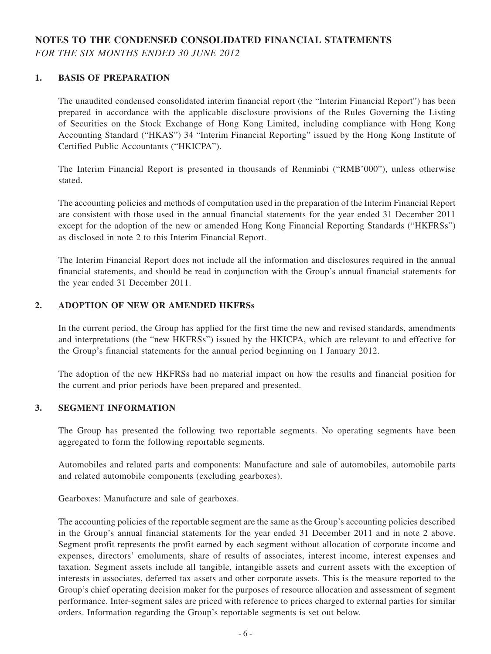## **NOTES TO THE CONDENSED CONSOLIDATED FINANCIAL STATEMENTS** *FOR THE SIX MONTHS ENDED 30 JUNE 2012*

#### **1. BASIS OF PREPARATION**

The unaudited condensed consolidated interim financial report (the "Interim Financial Report") has been prepared in accordance with the applicable disclosure provisions of the Rules Governing the Listing of Securities on the Stock Exchange of Hong Kong Limited, including compliance with Hong Kong Accounting Standard ("HKAS") 34 "Interim Financial Reporting" issued by the Hong Kong Institute of Certified Public Accountants ("HKICPA").

The Interim Financial Report is presented in thousands of Renminbi ("RMB'000"), unless otherwise stated.

The accounting policies and methods of computation used in the preparation of the Interim Financial Report are consistent with those used in the annual financial statements for the year ended 31 December 2011 except for the adoption of the new or amended Hong Kong Financial Reporting Standards ("HKFRSs") as disclosed in note 2 to this Interim Financial Report.

The Interim Financial Report does not include all the information and disclosures required in the annual financial statements, and should be read in conjunction with the Group's annual financial statements for the year ended 31 December 2011.

#### **2. ADOPTION OF NEW OR AMENDED HKFRSs**

In the current period, the Group has applied for the first time the new and revised standards, amendments and interpretations (the "new HKFRSs") issued by the HKICPA, which are relevant to and effective for the Group's financial statements for the annual period beginning on 1 January 2012.

The adoption of the new HKFRSs had no material impact on how the results and financial position for the current and prior periods have been prepared and presented.

#### **3. SEGMENT INFORMATION**

The Group has presented the following two reportable segments. No operating segments have been aggregated to form the following reportable segments.

Automobiles and related parts and components: Manufacture and sale of automobiles, automobile parts and related automobile components (excluding gearboxes).

Gearboxes: Manufacture and sale of gearboxes.

The accounting policies of the reportable segment are the same as the Group's accounting policies described in the Group's annual financial statements for the year ended 31 December 2011 and in note 2 above. Segment profit represents the profit earned by each segment without allocation of corporate income and expenses, directors' emoluments, share of results of associates, interest income, interest expenses and taxation. Segment assets include all tangible, intangible assets and current assets with the exception of interests in associates, deferred tax assets and other corporate assets. This is the measure reported to the Group's chief operating decision maker for the purposes of resource allocation and assessment of segment performance. Inter-segment sales are priced with reference to prices charged to external parties for similar orders. Information regarding the Group's reportable segments is set out below.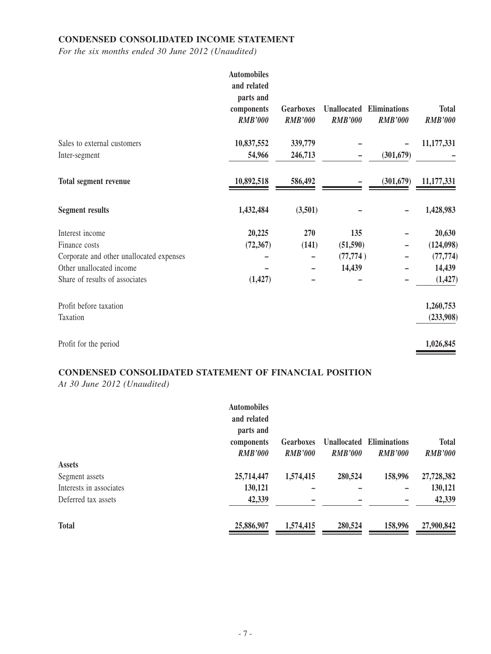## **CONDENSED CONSOLIDATED INCOME STATEMENT**

*For the six months ended 30 June 2012 (Unaudited)*

|                                          | <b>Automobiles</b><br>and related<br>parts and<br>components<br><b>RMB'000</b> | <b>Gearboxes</b><br><b>RMB'000</b> | <b>Unallocated</b><br><b>RMB'000</b> | <b>Eliminations</b><br><b>RMB'000</b> | <b>Total</b><br><b>RMB'000</b> |
|------------------------------------------|--------------------------------------------------------------------------------|------------------------------------|--------------------------------------|---------------------------------------|--------------------------------|
| Sales to external customers              | 10,837,552                                                                     | 339,779                            |                                      |                                       | 11,177,331                     |
| Inter-segment                            | 54,966                                                                         | 246,713                            |                                      | (301, 679)                            |                                |
| <b>Total segment revenue</b>             | 10,892,518                                                                     | 586,492                            |                                      | (301, 679)                            | 11,177,331                     |
| <b>Segment results</b>                   | 1,432,484                                                                      | (3,501)                            |                                      |                                       | 1,428,983                      |
| Interest income                          | 20,225                                                                         | 270                                | 135                                  |                                       | 20,630                         |
| Finance costs                            | (72, 367)                                                                      | (141)                              | (51, 590)                            |                                       | (124, 098)                     |
| Corporate and other unallocated expenses |                                                                                |                                    | (77, 774)                            |                                       | (77, 774)                      |
| Other unallocated income                 |                                                                                |                                    | 14,439                               |                                       | 14,439                         |
| Share of results of associates           | (1, 427)                                                                       |                                    |                                      |                                       | (1, 427)                       |
| Profit before taxation                   |                                                                                |                                    |                                      |                                       | 1,260,753                      |
| Taxation                                 |                                                                                |                                    |                                      |                                       | (233,908)                      |
| Profit for the period                    |                                                                                |                                    |                                      |                                       | 1,026,845                      |

# **CONDENSED CONSOLIDATED STATEMENT OF FINANCIAL POSITION**

*At 30 June 2012 (Unaudited)*

|                         | <b>Automobiles</b> |                  |                    |                     |                |
|-------------------------|--------------------|------------------|--------------------|---------------------|----------------|
|                         | and related        |                  |                    |                     |                |
|                         | parts and          |                  |                    |                     |                |
|                         | components         | <b>Gearboxes</b> | <b>Unallocated</b> | <b>Eliminations</b> | <b>Total</b>   |
|                         | <b>RMB'000</b>     | <b>RMB'000</b>   | <b>RMB'000</b>     | <b>RMB'000</b>      | <b>RMB'000</b> |
| <b>Assets</b>           |                    |                  |                    |                     |                |
| Segment assets          | 25,714,447         | 1,574,415        | 280,524            | 158,996             | 27,728,382     |
| Interests in associates | 130,121            |                  |                    |                     | 130,121        |
| Deferred tax assets     | 42,339             |                  |                    |                     | 42,339         |
| <b>Total</b>            | 25,886,907         | 1,574,415        | 280,524            | 158,996             | 27,900,842     |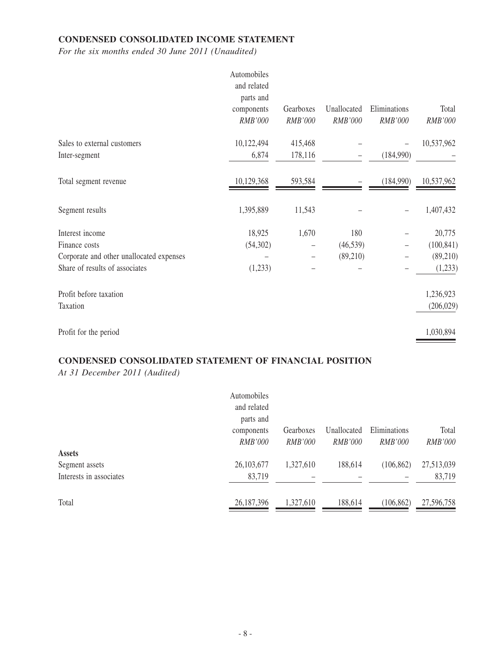## **CONDENSED CONSOLIDATED INCOME STATEMENT**

*For the six months ended 30 June 2011 (Unaudited)*

|                                          | Automobiles<br>and related<br>parts and |           |             |              |            |
|------------------------------------------|-----------------------------------------|-----------|-------------|--------------|------------|
|                                          | components                              | Gearboxes | Unallocated | Eliminations | Total      |
|                                          | RMB'000                                 | RMB'000   | RMB'000     | RMB'000      | RMB'000    |
| Sales to external customers              | 10,122,494                              | 415,468   |             |              | 10,537,962 |
| Inter-segment                            | 6,874                                   | 178,116   |             | (184,990)    |            |
| Total segment revenue                    | 10,129,368                              | 593,584   |             | (184,990)    | 10,537,962 |
| Segment results                          | 1,395,889                               | 11,543    |             |              | 1,407,432  |
| Interest income                          | 18,925                                  | 1,670     | 180         |              | 20,775     |
| Finance costs                            | (54,302)                                |           | (46, 539)   |              | (100, 841) |
| Corporate and other unallocated expenses |                                         |           | (89,210)    |              | (89, 210)  |
| Share of results of associates           | (1,233)                                 |           |             |              | (1,233)    |
| Profit before taxation                   |                                         |           |             |              | 1,236,923  |
| Taxation                                 |                                         |           |             |              | (206, 029) |
| Profit for the period                    |                                         |           |             |              | 1,030,894  |

#### **CONDENSED CONSOLIDATED STATEMENT OF FINANCIAL POSITION**

*At 31 December 2011 (Audited)*

|                         | Automobiles    |                |                |                |                |
|-------------------------|----------------|----------------|----------------|----------------|----------------|
|                         | and related    |                |                |                |                |
|                         | parts and      |                |                |                |                |
|                         | components     | Gearboxes      | Unallocated    | Eliminations   | Total          |
|                         | <i>RMB'000</i> | <i>RMB'000</i> | <i>RMB'000</i> | <i>RMB'000</i> | <b>RMB'000</b> |
| <b>Assets</b>           |                |                |                |                |                |
| Segment assets          | 26, 103, 677   | 1,327,610      | 188,614        | (106, 862)     | 27,513,039     |
| Interests in associates | 83,719         |                |                |                | 83,719         |
|                         |                |                |                |                |                |
| Total                   | 26,187,396     | 1,327,610      | 188,614        | (106, 862)     | 27,596,758     |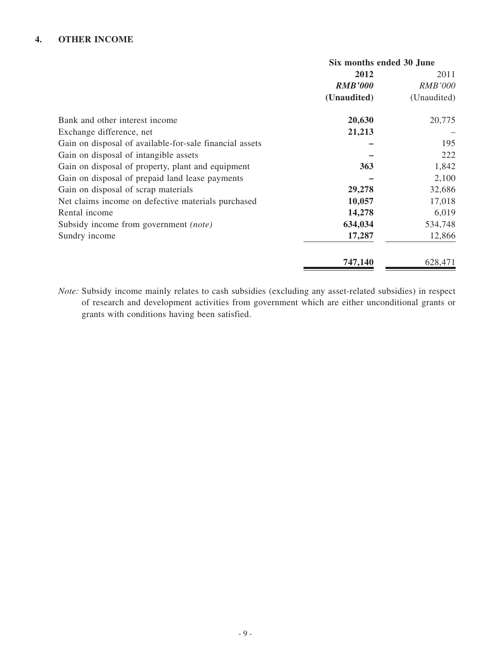|                                                         | Six months ended 30 June |                |  |
|---------------------------------------------------------|--------------------------|----------------|--|
|                                                         | 2012                     | 2011           |  |
|                                                         | <b>RMB'000</b>           | <b>RMB'000</b> |  |
|                                                         | (Unaudited)              | (Unaudited)    |  |
| Bank and other interest income                          | 20,630                   | 20,775         |  |
| Exchange difference, net                                | 21,213                   |                |  |
| Gain on disposal of available-for-sale financial assets |                          | 195            |  |
| Gain on disposal of intangible assets                   |                          | 222            |  |
| Gain on disposal of property, plant and equipment       | 363                      | 1,842          |  |
| Gain on disposal of prepaid land lease payments         |                          | 2,100          |  |
| Gain on disposal of scrap materials                     | 29,278                   | 32,686         |  |
| Net claims income on defective materials purchased      | 10,057                   | 17,018         |  |
| Rental income                                           | 14,278                   | 6,019          |  |
| Subsidy income from government (note)                   | 634,034                  | 534,748        |  |
| Sundry income                                           | 17,287                   | 12,866         |  |
|                                                         | 747,140                  | 628,471        |  |

*Note:* Subsidy income mainly relates to cash subsidies (excluding any asset-related subsidies) in respect of research and development activities from government which are either unconditional grants or grants with conditions having been satisfied.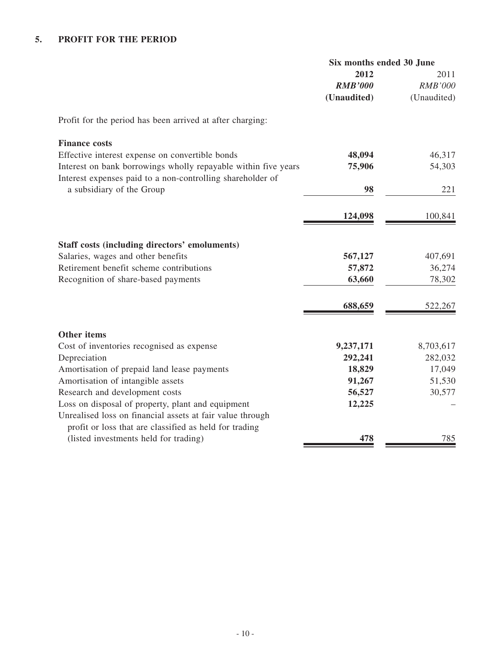|                                                                                                                              | Six months ended 30 June |                |
|------------------------------------------------------------------------------------------------------------------------------|--------------------------|----------------|
|                                                                                                                              | 2012                     | 2011           |
|                                                                                                                              | <b>RMB'000</b>           | <b>RMB'000</b> |
|                                                                                                                              | (Unaudited)              | (Unaudited)    |
| Profit for the period has been arrived at after charging:                                                                    |                          |                |
| <b>Finance costs</b>                                                                                                         |                          |                |
| Effective interest expense on convertible bonds                                                                              | 48,094                   | 46,317         |
| Interest on bank borrowings wholly repayable within five years<br>Interest expenses paid to a non-controlling shareholder of | 75,906                   | 54,303         |
| a subsidiary of the Group                                                                                                    | 98                       | 221            |
|                                                                                                                              | 124,098                  | 100,841        |
| Staff costs (including directors' emoluments)                                                                                |                          |                |
| Salaries, wages and other benefits                                                                                           | 567,127                  | 407,691        |
| Retirement benefit scheme contributions                                                                                      | 57,872                   | 36,274         |
| Recognition of share-based payments                                                                                          | 63,660                   | 78,302         |
|                                                                                                                              | 688,659                  | 522,267        |
| <b>Other items</b>                                                                                                           |                          |                |
| Cost of inventories recognised as expense                                                                                    | 9,237,171                | 8,703,617      |
| Depreciation                                                                                                                 | 292,241                  | 282,032        |
| Amortisation of prepaid land lease payments                                                                                  | 18,829                   | 17,049         |
| Amortisation of intangible assets                                                                                            | 91,267                   | 51,530         |
| Research and development costs                                                                                               | 56,527                   | 30,577         |
| Loss on disposal of property, plant and equipment                                                                            | 12,225                   |                |
| Unrealised loss on financial assets at fair value through                                                                    |                          |                |
| profit or loss that are classified as held for trading                                                                       |                          |                |
| (listed investments held for trading)                                                                                        | 478                      | 785            |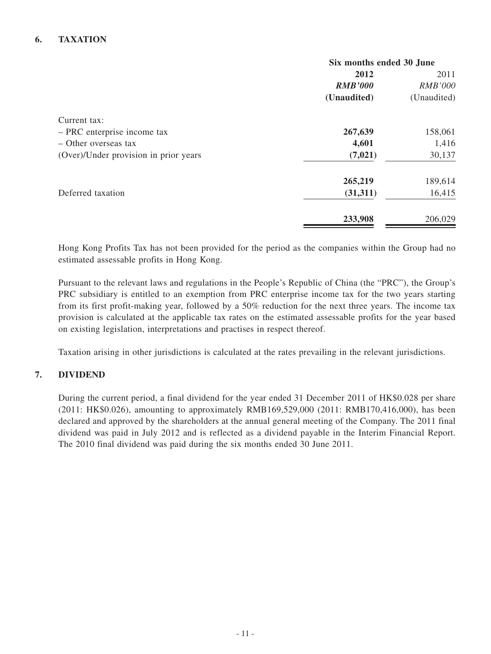#### **6. TAXATION**

|                                       | Six months ended 30 June |                |  |
|---------------------------------------|--------------------------|----------------|--|
|                                       | 2012                     | 2011           |  |
|                                       | <b>RMB'000</b>           | <b>RMB'000</b> |  |
|                                       | (Unaudited)              | (Unaudited)    |  |
| Current tax:                          |                          |                |  |
| - PRC enterprise income tax           | 267,639                  | 158,061        |  |
| - Other overseas tax                  | 4,601                    | 1,416          |  |
| (Over)/Under provision in prior years | (7, 021)                 | 30,137         |  |
|                                       | 265,219                  | 189,614        |  |
| Deferred taxation                     | (31,311)                 | 16,415         |  |
|                                       | 233,908                  | 206,029        |  |
|                                       |                          |                |  |

Hong Kong Profits Tax has not been provided for the period as the companies within the Group had no estimated assessable profits in Hong Kong.

Pursuant to the relevant laws and regulations in the People's Republic of China (the "PRC"), the Group's PRC subsidiary is entitled to an exemption from PRC enterprise income tax for the two years starting from its first profit-making year, followed by a 50% reduction for the next three years. The income tax provision is calculated at the applicable tax rates on the estimated assessable profits for the year based on existing legislation, interpretations and practises in respect thereof.

Taxation arising in other jurisdictions is calculated at the rates prevailing in the relevant jurisdictions.

#### **7. DIVIDEND**

During the current period, a final dividend for the year ended 31 December 2011 of HK\$0.028 per share (2011: HK\$0.026), amounting to approximately RMB169,529,000 (2011: RMB170,416,000), has been declared and approved by the shareholders at the annual general meeting of the Company. The 2011 final dividend was paid in July 2012 and is reflected as a dividend payable in the Interim Financial Report. The 2010 final dividend was paid during the six months ended 30 June 2011.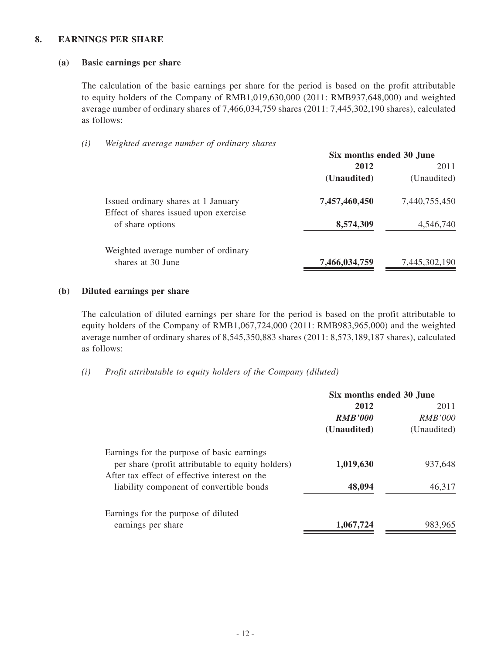#### **8. EARNINGS PER SHARE**

#### **(a) Basic earnings per share**

The calculation of the basic earnings per share for the period is based on the profit attributable to equity holders of the Company of RMB1,019,630,000 (2011: RMB937,648,000) and weighted average number of ordinary shares of 7,466,034,759 shares (2011: 7,445,302,190 shares), calculated as follows:

*(i) Weighted average number of ordinary shares*

|                                                                              | Six months ended 30 June |               |
|------------------------------------------------------------------------------|--------------------------|---------------|
|                                                                              | 2012                     | 2011          |
|                                                                              | (Unaudited)              | (Unaudited)   |
| Issued ordinary shares at 1 January<br>Effect of shares issued upon exercise | 7,457,460,450            | 7,440,755,450 |
| of share options                                                             | 8,574,309                | 4,546,740     |
| Weighted average number of ordinary                                          |                          |               |
| shares at 30 June                                                            | 7,466,034,759            | 7,445,302,190 |

#### **(b) Diluted earnings per share**

The calculation of diluted earnings per share for the period is based on the profit attributable to equity holders of the Company of RMB1,067,724,000 (2011: RMB983,965,000) and the weighted average number of ordinary shares of 8,545,350,883 shares (2011: 8,573,189,187 shares), calculated as follows:

*(i) Profit attributable to equity holders of the Company (diluted)*

|                                                                                                    | Six months ended 30 June |                |
|----------------------------------------------------------------------------------------------------|--------------------------|----------------|
|                                                                                                    | 2012                     | 2011           |
|                                                                                                    | <b>RMB'000</b>           | <i>RMB'000</i> |
|                                                                                                    | (Unaudited)              | (Unaudited)    |
| Earnings for the purpose of basic earnings                                                         |                          |                |
| per share (profit attributable to equity holders)<br>After tax effect of effective interest on the | 1,019,630                | 937.648        |
| liability component of convertible bonds                                                           | 48,094                   | 46,317         |
| Earnings for the purpose of diluted                                                                |                          |                |
| earnings per share                                                                                 | 1,067,724                | 983.965        |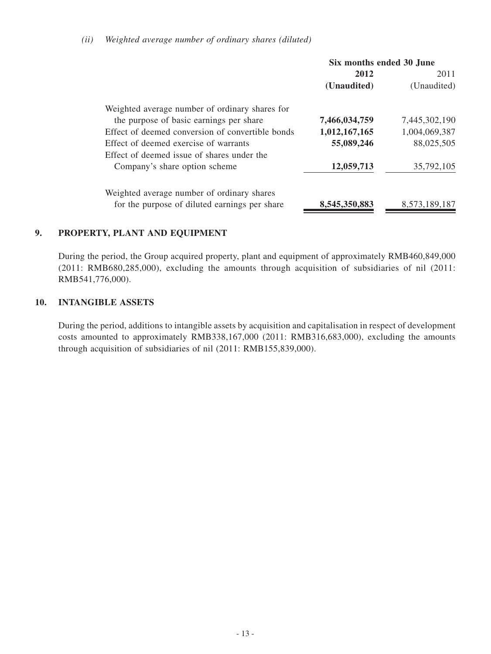#### *(ii) Weighted average number of ordinary shares (diluted)*

| Six months ended 30 June |               |
|--------------------------|---------------|
| 2012                     | 2011          |
| (Unaudited)              | (Unaudited)   |
|                          |               |
| 7,466,034,759            | 7,445,302,190 |
| 1,012,167,165            | 1,004,069,387 |
| 55,089,246               | 88,025,505    |
|                          |               |
| 12,059,713               | 35,792,105    |
|                          |               |
| 8,545,350,883            | 8,573,189,187 |
|                          |               |

#### **9. PROPERTY, PLANT AND EQUIPMENT**

During the period, the Group acquired property, plant and equipment of approximately RMB460,849,000 (2011: RMB680,285,000), excluding the amounts through acquisition of subsidiaries of nil (2011: RMB541,776,000).

#### **10. INTANGIBLE ASSETS**

During the period, additions to intangible assets by acquisition and capitalisation in respect of development costs amounted to approximately RMB338,167,000 (2011: RMB316,683,000), excluding the amounts through acquisition of subsidiaries of nil (2011: RMB155,839,000).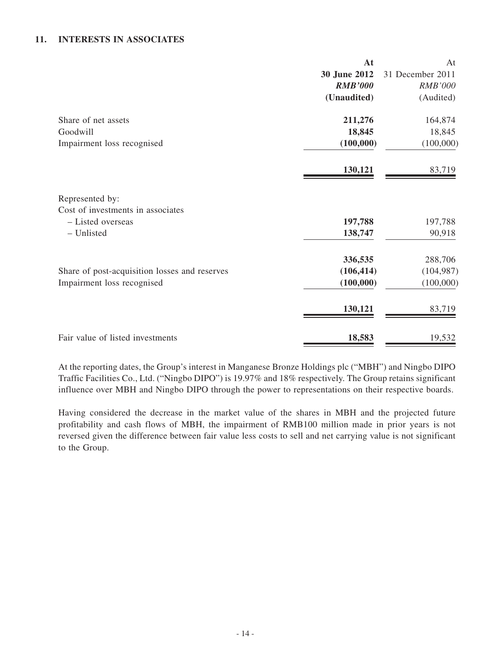#### **11. INTERESTs IN ASSOCIATEs**

|                                                      | At             | At               |
|------------------------------------------------------|----------------|------------------|
|                                                      | 30 June 2012   | 31 December 2011 |
|                                                      | <b>RMB'000</b> | RMB'000          |
|                                                      | (Unaudited)    | (Audited)        |
| Share of net assets                                  | 211,276        | 164,874          |
| Goodwill                                             | 18,845         | 18,845           |
| Impairment loss recognised                           | (100,000)      | (100,000)        |
|                                                      | 130,121        | 83,719           |
| Represented by:<br>Cost of investments in associates |                |                  |
| - Listed overseas                                    | 197,788        | 197,788          |
| - Unlisted                                           | 138,747        | 90,918           |
|                                                      | 336,535        | 288,706          |
| Share of post-acquisition losses and reserves        | (106, 414)     | (104, 987)       |
| Impairment loss recognised                           | (100,000)      | (100,000)        |
|                                                      | 130,121        | 83,719           |
| Fair value of listed investments                     | 18,583         | 19,532           |

At the reporting dates, the Group's interest in Manganese Bronze Holdings plc ("MBH") and Ningbo DIPO Traffic Facilities Co., Ltd. ("Ningbo DIPO") is 19.97% and 18% respectively. The Group retains significant influence over MBH and Ningbo DIPO through the power to representations on their respective boards.

Having considered the decrease in the market value of the shares in MBH and the projected future profitability and cash flows of MBH, the impairment of RMB100 million made in prior years is not reversed given the difference between fair value less costs to sell and net carrying value is not significant to the Group.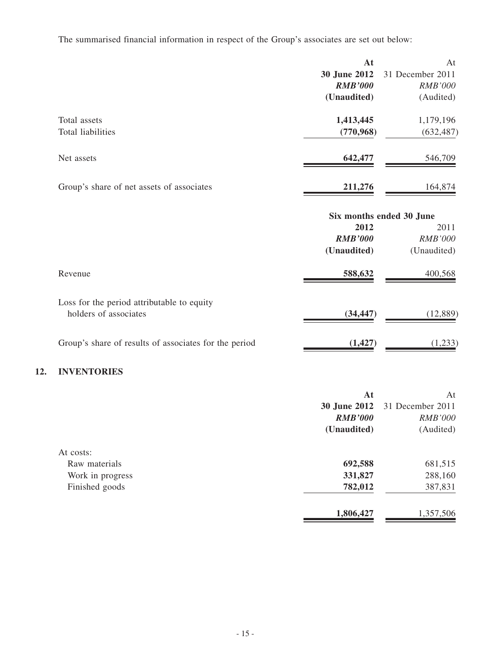The summarised financial information in respect of the Group's associates are set out below:

|                                                       | At             | At                       |
|-------------------------------------------------------|----------------|--------------------------|
|                                                       | 30 June 2012   | 31 December 2011         |
|                                                       | <b>RMB'000</b> | <b>RMB'000</b>           |
|                                                       | (Unaudited)    | (Audited)                |
| Total assets                                          | 1,413,445      | 1,179,196                |
| <b>Total liabilities</b>                              | (770, 968)     | (632, 487)               |
| Net assets                                            | 642,477        | 546,709                  |
| Group's share of net assets of associates             | 211,276        | 164,874                  |
|                                                       |                | Six months ended 30 June |
|                                                       | 2012           | 2011                     |
|                                                       | <b>RMB'000</b> | RMB'000                  |
|                                                       | (Unaudited)    | (Unaudited)              |
| Revenue                                               | 588,632        | 400,568                  |
| Loss for the period attributable to equity            |                |                          |
| holders of associates                                 | (34, 447)      | (12, 889)                |
| Group's share of results of associates for the period | (1, 427)       | (1,233)                  |
| <b>INVENTORIES</b>                                    |                |                          |
|                                                       | At             | At                       |

|                  |                | <b>30 June 2012</b> 31 December 2011 |
|------------------|----------------|--------------------------------------|
|                  | <b>RMB'000</b> | <b>RMB'000</b>                       |
|                  | (Unaudited)    | (Audited)                            |
| At costs:        |                |                                      |
| Raw materials    | 692,588        | 681,515                              |
| Work in progress | 331,827        | 288,160                              |
| Finished goods   | 782,012        | 387,831                              |
|                  | 1,806,427      | 1,357,506                            |

**12.**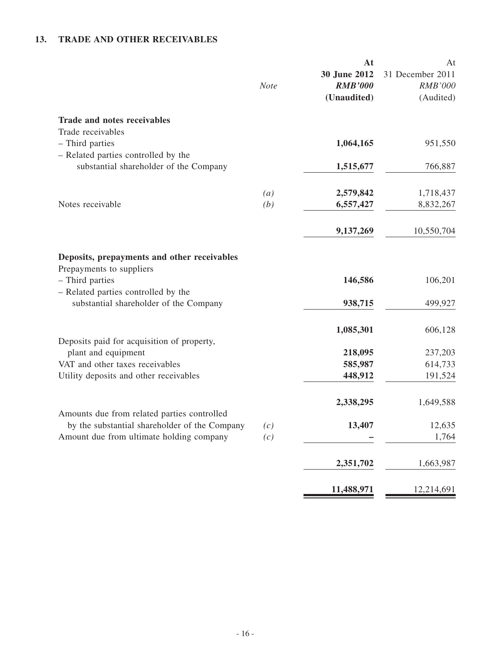## **13. TRADE AND OTHER RECEIVABLES**

|                                                                                            | <b>Note</b>             | At<br>30 June 2012<br><b>RMB'000</b><br>(Unaudited) | At<br>31 December 2011<br><b>RMB'000</b><br>(Audited) |
|--------------------------------------------------------------------------------------------|-------------------------|-----------------------------------------------------|-------------------------------------------------------|
| <b>Trade and notes receivables</b>                                                         |                         |                                                     |                                                       |
| Trade receivables<br>- Third parties<br>- Related parties controlled by the                |                         | 1,064,165                                           | 951,550                                               |
| substantial shareholder of the Company                                                     |                         | 1,515,677                                           | 766,887                                               |
| Notes receivable                                                                           | $\left(a\right)$<br>(b) | 2,579,842<br>6,557,427                              | 1,718,437<br>8,832,267                                |
|                                                                                            |                         | 9,137,269                                           | 10,550,704                                            |
| Deposits, prepayments and other receivables<br>Prepayments to suppliers<br>- Third parties |                         | 146,586                                             | 106,201                                               |
| - Related parties controlled by the<br>substantial shareholder of the Company              |                         | 938,715                                             | 499,927                                               |
| Deposits paid for acquisition of property,                                                 |                         | 1,085,301                                           | 606,128                                               |
| plant and equipment                                                                        |                         | 218,095                                             | 237,203                                               |
| VAT and other taxes receivables                                                            |                         | 585,987                                             | 614,733                                               |
| Utility deposits and other receivables                                                     |                         | 448,912                                             | 191,524                                               |
| Amounts due from related parties controlled                                                |                         | 2,338,295                                           | 1,649,588                                             |
| by the substantial shareholder of the Company                                              | (c)                     | 13,407                                              | 12,635                                                |
| Amount due from ultimate holding company                                                   | (c)                     |                                                     | 1,764                                                 |
|                                                                                            |                         | 2,351,702                                           | 1,663,987                                             |
|                                                                                            |                         | 11,488,971                                          | 12,214,691                                            |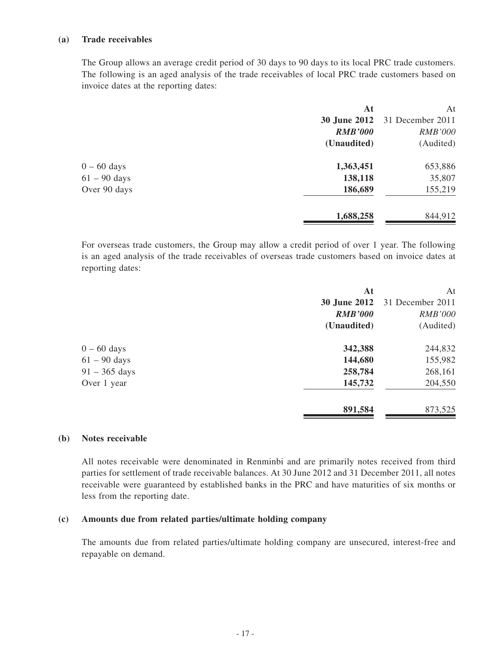#### **(a) Trade receivables**

The Group allows an average credit period of 30 days to 90 days to its local PRC trade customers. The following is an aged analysis of the trade receivables of local PRC trade customers based on invoice dates at the reporting dates:

| At                  | At               |
|---------------------|------------------|
| <b>30 June 2012</b> | 31 December 2011 |
| <b>RMB'000</b>      | <b>RMB'000</b>   |
| (Unaudited)         | (Audited)        |
| 1,363,451           | 653,886          |
| 138,118             | 35,807           |
| 186,689             | 155,219          |
| 1,688,258           | 844,912          |
|                     |                  |

For overseas trade customers, the Group may allow a credit period of over 1 year. The following is an aged analysis of the trade receivables of overseas trade customers based on invoice dates at reporting dates:

| At                  | At               |
|---------------------|------------------|
| <b>30 June 2012</b> | 31 December 2011 |
| <b>RMB'000</b>      | <b>RMB'000</b>   |
| (Unaudited)         | (Audited)        |
| 342,388             | 244,832          |
| 144,680             | 155,982          |
| 258,784             | 268,161          |
| 145,732             | 204,550          |
| 891,584             | 873,525          |
|                     |                  |

#### **(b) Notes receivable**

All notes receivable were denominated in Renminbi and are primarily notes received from third parties for settlement of trade receivable balances. At 30 June 2012 and 31 December 2011, all notes receivable were guaranteed by established banks in the PRC and have maturities of six months or less from the reporting date.

#### **(c) Amounts due from related parties/ultimate holding company**

The amounts due from related parties/ultimate holding company are unsecured, interest-free and repayable on demand.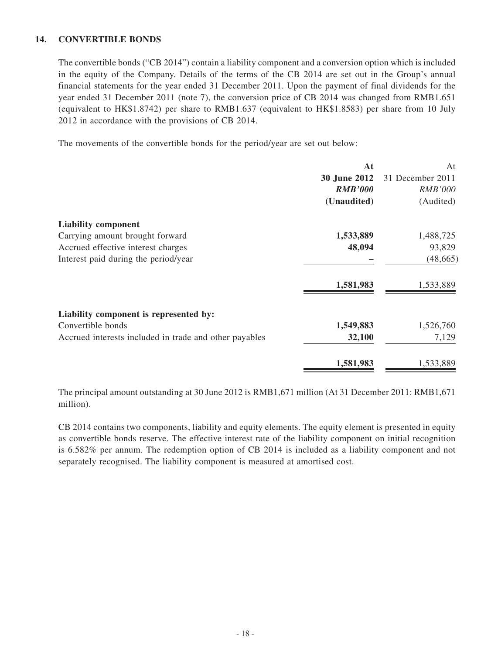#### **14. CONVERTIBLE BONDS**

The convertible bonds ("CB 2014") contain a liability component and a conversion option which is included in the equity of the Company. Details of the terms of the CB 2014 are set out in the Group's annual financial statements for the year ended 31 December 2011. Upon the payment of final dividends for the year ended 31 December 2011 (note 7), the conversion price of CB 2014 was changed from RMB1.651 (equivalent to HK\$1.8742) per share to RMB1.637 (equivalent to HK\$1.8583) per share from 10 July 2012 in accordance with the provisions of CB 2014.

The movements of the convertible bonds for the period/year are set out below:

|                                                        | At                  | At               |
|--------------------------------------------------------|---------------------|------------------|
|                                                        | <b>30 June 2012</b> | 31 December 2011 |
|                                                        | <b>RMB'000</b>      | <i>RMB'000</i>   |
|                                                        | (Unaudited)         | (Audited)        |
| <b>Liability component</b>                             |                     |                  |
| Carrying amount brought forward                        | 1,533,889           | 1,488,725        |
| Accrued effective interest charges                     | 48,094              | 93,829           |
| Interest paid during the period/year                   |                     | (48, 665)        |
|                                                        | 1,581,983           | 1,533,889        |
| Liability component is represented by:                 |                     |                  |
| Convertible bonds                                      | 1,549,883           | 1,526,760        |
| Accrued interests included in trade and other payables | 32,100              | 7,129            |
|                                                        | 1,581,983           | 1,533,889        |
|                                                        |                     |                  |

The principal amount outstanding at 30 June 2012 is RMB1,671 million (At 31 December 2011: RMB1,671 million).

CB 2014 contains two components, liability and equity elements. The equity element is presented in equity as convertible bonds reserve. The effective interest rate of the liability component on initial recognition is 6.582% per annum. The redemption option of CB 2014 is included as a liability component and not separately recognised. The liability component is measured at amortised cost.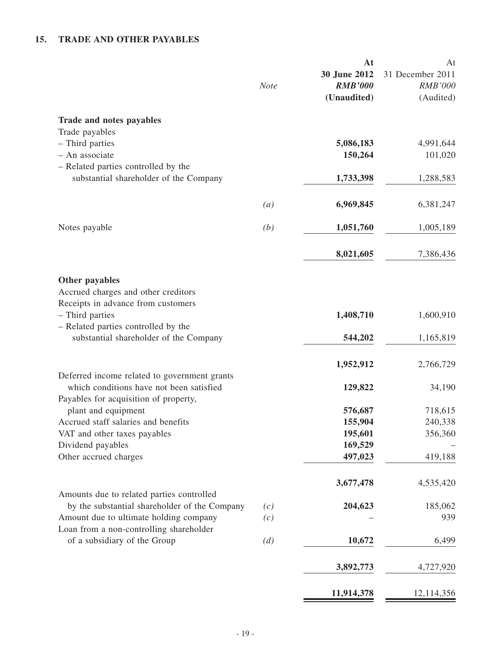## **15. TRADE AND OTHER PAYABLES**

|                                                                                                                                   | <b>Note</b>       | At<br>30 June 2012<br><b>RMB'000</b><br>(Unaudited) | At<br>31 December 2011<br><b>RMB'000</b><br>(Audited) |
|-----------------------------------------------------------------------------------------------------------------------------------|-------------------|-----------------------------------------------------|-------------------------------------------------------|
| Trade and notes payables                                                                                                          |                   |                                                     |                                                       |
| Trade payables                                                                                                                    |                   |                                                     |                                                       |
| - Third parties<br>- An associate                                                                                                 |                   | 5,086,183<br>150,264                                | 4,991,644                                             |
| - Related parties controlled by the                                                                                               |                   |                                                     | 101,020                                               |
| substantial shareholder of the Company                                                                                            |                   | 1,733,398                                           | 1,288,583                                             |
|                                                                                                                                   | $\left( a\right)$ | 6,969,845                                           | 6,381,247                                             |
| Notes payable                                                                                                                     | (b)               | 1,051,760                                           | 1,005,189                                             |
|                                                                                                                                   |                   | 8,021,605                                           | 7,386,436                                             |
| Other payables<br>Accrued charges and other creditors<br>Receipts in advance from customers<br>- Third parties                    |                   | 1,408,710                                           | 1,600,910                                             |
| - Related parties controlled by the<br>substantial shareholder of the Company                                                     |                   | 544,202                                             | 1,165,819                                             |
|                                                                                                                                   |                   | 1,952,912                                           | 2,766,729                                             |
| Deferred income related to government grants<br>which conditions have not been satisfied<br>Payables for acquisition of property, |                   | 129,822                                             | 34,190                                                |
| plant and equipment                                                                                                               |                   | 576,687                                             | 718,615                                               |
| Accrued staff salaries and benefits                                                                                               |                   | 155,904                                             | 240,338                                               |
| VAT and other taxes payables                                                                                                      |                   | 195,601                                             | 356,360                                               |
| Dividend payables                                                                                                                 |                   | 169,529                                             |                                                       |
| Other accrued charges                                                                                                             |                   | 497,023                                             | 419,188                                               |
| Amounts due to related parties controlled                                                                                         |                   | 3,677,478                                           | 4,535,420                                             |
| by the substantial shareholder of the Company                                                                                     | (c)               | 204,623                                             | 185,062                                               |
| Amount due to ultimate holding company<br>Loan from a non-controlling shareholder                                                 | (c)               |                                                     | 939                                                   |
| of a subsidiary of the Group                                                                                                      | (d)               | 10,672                                              | 6,499                                                 |
|                                                                                                                                   |                   | 3,892,773                                           | 4,727,920                                             |
|                                                                                                                                   |                   | 11,914,378                                          | 12,114,356                                            |
|                                                                                                                                   |                   |                                                     |                                                       |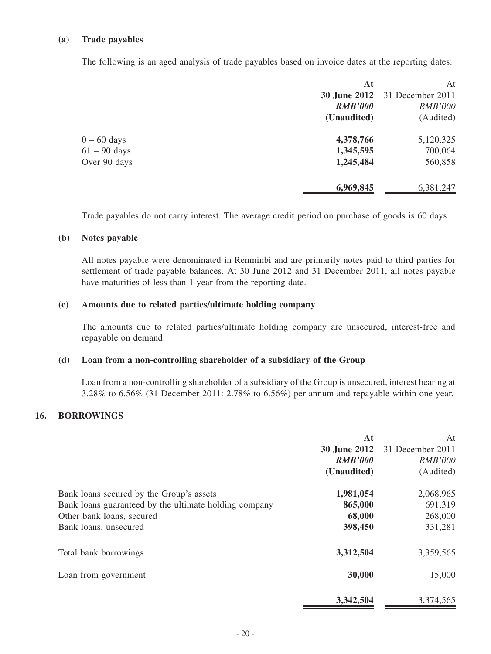#### **(a) Trade payables**

The following is an aged analysis of trade payables based on invoice dates at the reporting dates:

|                | At                  | At               |
|----------------|---------------------|------------------|
|                | <b>30 June 2012</b> | 31 December 2011 |
|                | <b>RMB'000</b>      | <b>RMB'000</b>   |
|                | (Unaudited)         | (Audited)        |
| $0 - 60$ days  | 4,378,766           | 5,120,325        |
| $61 - 90$ days | 1,345,595           | 700,064          |
| Over 90 days   | 1,245,484           | 560,858          |
|                | 6,969,845           | 6,381,247        |
|                |                     |                  |

Trade payables do not carry interest. The average credit period on purchase of goods is 60 days.

#### **(b) Notes payable**

All notes payable were denominated in Renminbi and are primarily notes paid to third parties for settlement of trade payable balances. At 30 June 2012 and 31 December 2011, all notes payable have maturities of less than 1 year from the reporting date.

#### **(c) Amounts due to related parties/ultimate holding company**

The amounts due to related parties/ultimate holding company are unsecured, interest-free and repayable on demand.

#### **(d) Loan from a non-controlling shareholder of a subsidiary of the Group**

Loan from a non-controlling shareholder of a subsidiary of the Group is unsecured, interest bearing at 3.28% to 6.56% (31 December 2011: 2.78% to 6.56%) per annum and repayable within one year.

#### **16. BORROWINGS**

|                                                       | At             | At               |
|-------------------------------------------------------|----------------|------------------|
|                                                       | 30 June 2012   | 31 December 2011 |
|                                                       | <b>RMB'000</b> | <b>RMB'000</b>   |
|                                                       | (Unaudited)    | (Audited)        |
| Bank loans secured by the Group's assets              | 1,981,054      | 2,068,965        |
| Bank loans guaranteed by the ultimate holding company | 865,000        | 691,319          |
| Other bank loans, secured                             | 68,000         | 268,000          |
| Bank loans, unsecured                                 | 398,450        | 331,281          |
| Total bank borrowings                                 | 3,312,504      | 3,359,565        |
| Loan from government                                  | 30,000         | 15,000           |
|                                                       | 3,342,504      | 3,374,565        |
|                                                       |                |                  |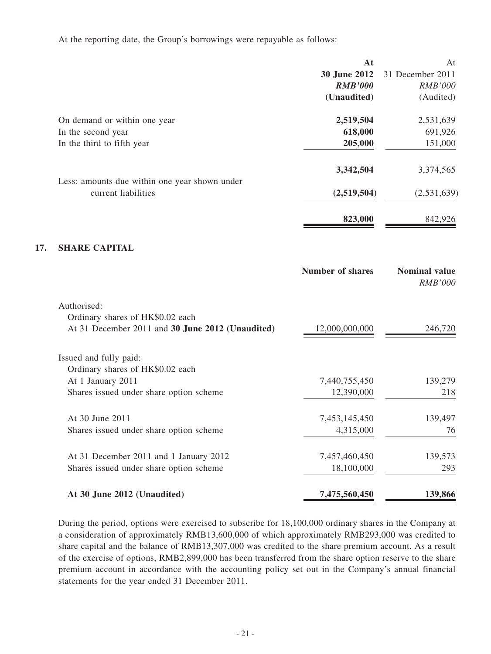At the reporting date, the Group's borrowings were repayable as follows:

**17.** 

|                                                                      | At                      | At                                     |
|----------------------------------------------------------------------|-------------------------|----------------------------------------|
|                                                                      | 30 June 2012            | 31 December 2011                       |
|                                                                      | <b>RMB'000</b>          | <b>RMB'000</b>                         |
|                                                                      | (Unaudited)             | (Audited)                              |
| On demand or within one year                                         | 2,519,504               | 2,531,639                              |
| In the second year                                                   | 618,000                 | 691,926                                |
| In the third to fifth year                                           | 205,000                 | 151,000                                |
|                                                                      | 3,342,504               | 3,374,565                              |
| Less: amounts due within one year shown under<br>current liabilities | (2,519,504)             | (2,531,639)                            |
|                                                                      |                         |                                        |
|                                                                      | 823,000                 | 842,926                                |
| <b>SHARE CAPITAL</b>                                                 |                         |                                        |
|                                                                      | <b>Number of shares</b> | <b>Nominal value</b><br><b>RMB'000</b> |
| Authorised:                                                          |                         |                                        |
| Ordinary shares of HK\$0.02 each                                     |                         |                                        |
| At 31 December 2011 and 30 June 2012 (Unaudited)                     | 12,000,000,000          | 246,720                                |
| Issued and fully paid:                                               |                         |                                        |
| Ordinary shares of HK\$0.02 each                                     |                         |                                        |
| At 1 January 2011                                                    | 7,440,755,450           | 139,279                                |
| Shares issued under share option scheme                              | 12,390,000              | 218                                    |
| At 30 June 2011                                                      | 7,453,145,450           | 139,497                                |
| Shares issued under share option scheme                              | 4,315,000               | 76                                     |
| At 31 December 2011 and 1 January 2012                               | 7,457,460,450           | 139,573                                |
| Shares issued under share option scheme                              | 18,100,000              | 293                                    |
| At 30 June 2012 (Unaudited)                                          | 7,475,560,450           | 139,866                                |

During the period, options were exercised to subscribe for 18,100,000 ordinary shares in the Company at a consideration of approximately RMB13,600,000 of which approximately RMB293,000 was credited to share capital and the balance of RMB13,307,000 was credited to the share premium account. As a result of the exercise of options, RMB2,899,000 has been transferred from the share option reserve to the share premium account in accordance with the accounting policy set out in the Company's annual financial statements for the year ended 31 December 2011.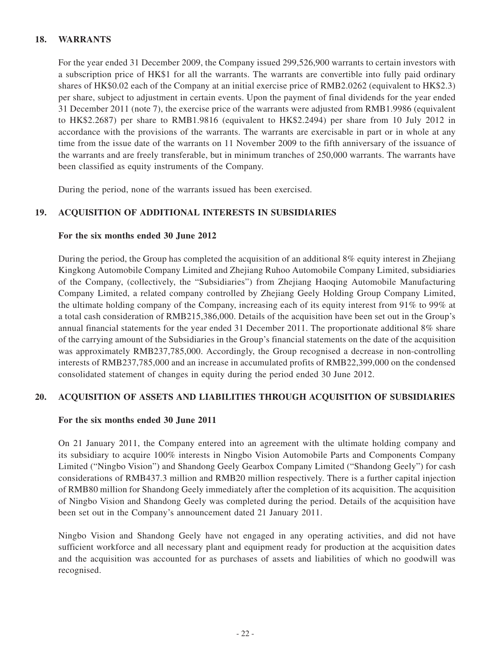#### **18. WARRANTS**

For the year ended 31 December 2009, the Company issued 299,526,900 warrants to certain investors with a subscription price of HK\$1 for all the warrants. The warrants are convertible into fully paid ordinary shares of HK\$0.02 each of the Company at an initial exercise price of RMB2.0262 (equivalent to HK\$2.3) per share, subject to adjustment in certain events. Upon the payment of final dividends for the year ended 31 December 2011 (note 7), the exercise price of the warrants were adjusted from RMB1.9986 (equivalent to HK\$2.2687) per share to RMB1.9816 (equivalent to HK\$2.2494) per share from 10 July 2012 in accordance with the provisions of the warrants. The warrants are exercisable in part or in whole at any time from the issue date of the warrants on 11 November 2009 to the fifth anniversary of the issuance of the warrants and are freely transferable, but in minimum tranches of 250,000 warrants. The warrants have been classified as equity instruments of the Company.

During the period, none of the warrants issued has been exercised.

#### **19. ACQUISITION OF ADDITIONAL INTERESTS IN SUBSIDIARIES**

#### **For the six months ended 30 June 2012**

During the period, the Group has completed the acquisition of an additional 8% equity interest in Zhejiang Kingkong Automobile Company Limited and Zhejiang Ruhoo Automobile Company Limited, subsidiaries of the Company, (collectively, the "Subsidiaries") from Zhejiang Haoqing Automobile Manufacturing Company Limited, a related company controlled by Zhejiang Geely Holding Group Company Limited, the ultimate holding company of the Company, increasing each of its equity interest from 91% to 99% at a total cash consideration of RMB215,386,000. Details of the acquisition have been set out in the Group's annual financial statements for the year ended 31 December 2011. The proportionate additional 8% share of the carrying amount of the Subsidiaries in the Group's financial statements on the date of the acquisition was approximately RMB237,785,000. Accordingly, the Group recognised a decrease in non-controlling interests of RMB237,785,000 and an increase in accumulated profits of RMB22,399,000 on the condensed consolidated statement of changes in equity during the period ended 30 June 2012.

#### **20. ACQUISITION OF ASSETS AND LIABILITIES THROUGH ACQUISITION OF SUBSIDIARIES**

#### **For the six months ended 30 June 2011**

On 21 January 2011, the Company entered into an agreement with the ultimate holding company and its subsidiary to acquire 100% interests in Ningbo Vision Automobile Parts and Components Company Limited ("Ningbo Vision") and Shandong Geely Gearbox Company Limited ("Shandong Geely") for cash considerations of RMB437.3 million and RMB20 million respectively. There is a further capital injection of RMB80 million for Shandong Geely immediately after the completion of its acquisition. The acquisition of Ningbo Vision and Shandong Geely was completed during the period. Details of the acquisition have been set out in the Company's announcement dated 21 January 2011.

Ningbo Vision and Shandong Geely have not engaged in any operating activities, and did not have sufficient workforce and all necessary plant and equipment ready for production at the acquisition dates and the acquisition was accounted for as purchases of assets and liabilities of which no goodwill was recognised.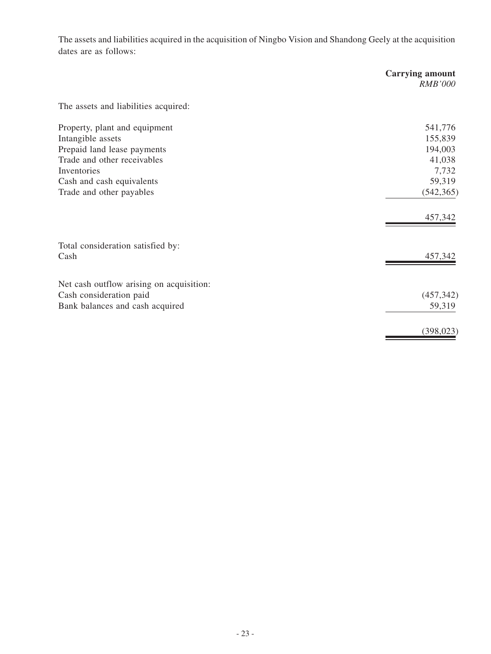The assets and liabilities acquired in the acquisition of Ningbo Vision and Shandong Geely at the acquisition dates are as follows:

|                                                                                                                                                              | <b>Carrying amount</b><br><b>RMB'000</b>                   |
|--------------------------------------------------------------------------------------------------------------------------------------------------------------|------------------------------------------------------------|
| The assets and liabilities acquired:                                                                                                                         |                                                            |
| Property, plant and equipment<br>Intangible assets<br>Prepaid land lease payments<br>Trade and other receivables<br>Inventories<br>Cash and cash equivalents | 541,776<br>155,839<br>194,003<br>41,038<br>7,732<br>59,319 |
| Trade and other payables                                                                                                                                     | (542, 365)<br>457,342                                      |
| Total consideration satisfied by:<br>Cash                                                                                                                    | 457,342                                                    |
| Net cash outflow arising on acquisition:<br>Cash consideration paid<br>Bank balances and cash acquired                                                       | (457, 342)<br>59,319                                       |
|                                                                                                                                                              | (398, 023)                                                 |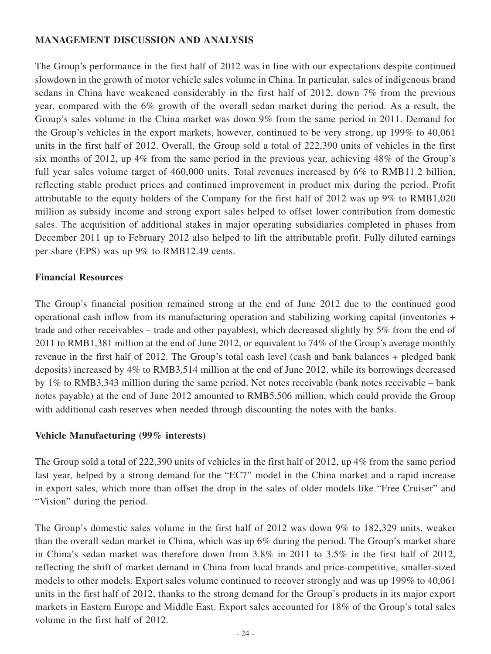## **MANAGEMENT DISCUSSION AND ANALYSIS**

The Group's performance in the first half of 2012 was in line with our expectations despite continued slowdown in the growth of motor vehicle sales volume in China. In particular, sales of indigenous brand sedans in China have weakened considerably in the first half of 2012, down 7% from the previous year, compared with the 6% growth of the overall sedan market during the period. As a result, the Group's sales volume in the China market was down 9% from the same period in 2011. Demand for the Group's vehicles in the export markets, however, continued to be very strong, up 199% to 40,061 units in the first half of 2012. Overall, the Group sold a total of 222,390 units of vehicles in the first six months of 2012, up 4% from the same period in the previous year, achieving 48% of the Group's full year sales volume target of 460,000 units. Total revenues increased by 6% to RMB11.2 billion, reflecting stable product prices and continued improvement in product mix during the period. Profit attributable to the equity holders of the Company for the first half of 2012 was up 9% to RMB1,020 million as subsidy income and strong export sales helped to offset lower contribution from domestic sales. The acquisition of additional stakes in major operating subsidiaries completed in phases from December 2011 up to February 2012 also helped to lift the attributable profit. Fully diluted earnings per share (EPS) was up 9% to RMB12.49 cents.

## **Financial Resources**

The Group's financial position remained strong at the end of June 2012 due to the continued good operational cash inflow from its manufacturing operation and stabilizing working capital (inventories + trade and other receivables – trade and other payables), which decreased slightly by 5% from the end of 2011 to RMB1,381 million at the end of June 2012, or equivalent to 74% of the Group's average monthly revenue in the first half of 2012. The Group's total cash level (cash and bank balances + pledged bank deposits) increased by 4% to RMB3,514 million at the end of June 2012, while its borrowings decreased by 1% to RMB3,343 million during the same period. Net notes receivable (bank notes receivable – bank notes payable) at the end of June 2012 amounted to RMB5,506 million, which could provide the Group with additional cash reserves when needed through discounting the notes with the banks.

## **Vehicle Manufacturing (99% interests)**

The Group sold a total of 222,390 units of vehicles in the first half of 2012, up 4% from the same period last year, helped by a strong demand for the "EC7" model in the China market and a rapid increase in export sales, which more than offset the drop in the sales of older models like "Free Cruiser" and "Vision" during the period.

The Group's domestic sales volume in the first half of 2012 was down 9% to 182,329 units, weaker than the overall sedan market in China, which was up 6% during the period. The Group's market share in China's sedan market was therefore down from 3.8% in 2011 to 3.5% in the first half of 2012, reflecting the shift of market demand in China from local brands and price-competitive, smaller-sized models to other models. Export sales volume continued to recover strongly and was up 199% to 40,061 units in the first half of 2012, thanks to the strong demand for the Group's products in its major export markets in Eastern Europe and Middle East. Export sales accounted for 18% of the Group's total sales volume in the first half of 2012.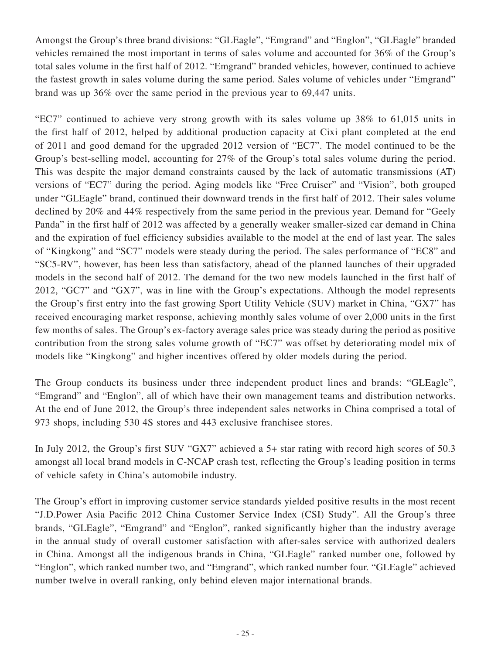Amongst the Group's three brand divisions: "GLEagle", "Emgrand" and "Englon", "GLEagle" branded vehicles remained the most important in terms of sales volume and accounted for 36% of the Group's total sales volume in the first half of 2012. "Emgrand" branded vehicles, however, continued to achieve the fastest growth in sales volume during the same period. Sales volume of vehicles under "Emgrand" brand was up 36% over the same period in the previous year to 69,447 units.

"EC7" continued to achieve very strong growth with its sales volume up 38% to 61,015 units in the first half of 2012, helped by additional production capacity at Cixi plant completed at the end of 2011 and good demand for the upgraded 2012 version of "EC7". The model continued to be the Group's best-selling model, accounting for 27% of the Group's total sales volume during the period. This was despite the major demand constraints caused by the lack of automatic transmissions (AT) versions of "EC7" during the period. Aging models like "Free Cruiser" and "Vision", both grouped under "GLEagle" brand, continued their downward trends in the first half of 2012. Their sales volume declined by 20% and 44% respectively from the same period in the previous year. Demand for "Geely Panda" in the first half of 2012 was affected by a generally weaker smaller-sized car demand in China and the expiration of fuel efficiency subsidies available to the model at the end of last year. The sales of "Kingkong" and "SC7" models were steady during the period. The sales performance of "EC8" and "SC5-RV", however, has been less than satisfactory, ahead of the planned launches of their upgraded models in the second half of 2012. The demand for the two new models launched in the first half of 2012, "GC7" and "GX7", was in line with the Group's expectations. Although the model represents the Group's first entry into the fast growing Sport Utility Vehicle (SUV) market in China, "GX7" has received encouraging market response, achieving monthly sales volume of over 2,000 units in the first few months of sales. The Group's ex-factory average sales price was steady during the period as positive contribution from the strong sales volume growth of "EC7" was offset by deteriorating model mix of models like "Kingkong" and higher incentives offered by older models during the period.

The Group conducts its business under three independent product lines and brands: "GLEagle", "Emgrand" and "Englon", all of which have their own management teams and distribution networks. At the end of June 2012, the Group's three independent sales networks in China comprised a total of 973 shops, including 530 4S stores and 443 exclusive franchisee stores.

In July 2012, the Group's first SUV "GX7" achieved a 5+ star rating with record high scores of 50.3 amongst all local brand models in C-NCAP crash test, reflecting the Group's leading position in terms of vehicle safety in China's automobile industry.

The Group's effort in improving customer service standards yielded positive results in the most recent "J.D.Power Asia Pacific 2012 China Customer Service Index (CSI) Study". All the Group's three brands, "GLEagle", "Emgrand" and "Englon", ranked significantly higher than the industry average in the annual study of overall customer satisfaction with after-sales service with authorized dealers in China. Amongst all the indigenous brands in China, "GLEagle" ranked number one, followed by "Englon", which ranked number two, and "Emgrand", which ranked number four. "GLEagle" achieved number twelve in overall ranking, only behind eleven major international brands.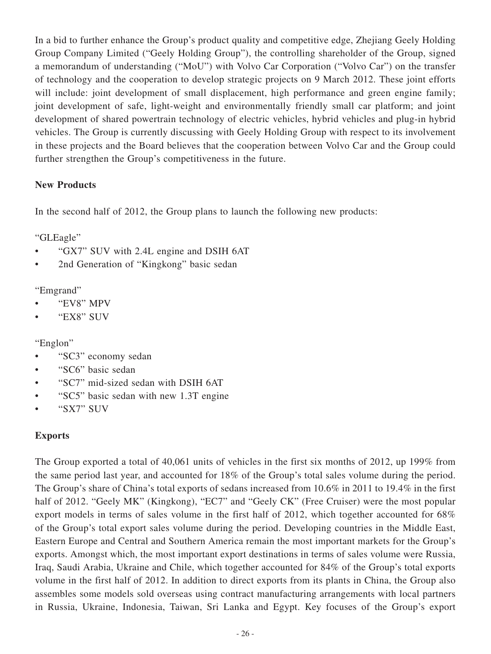In a bid to further enhance the Group's product quality and competitive edge, Zhejiang Geely Holding Group Company Limited ("Geely Holding Group"), the controlling shareholder of the Group, signed a memorandum of understanding ("MoU") with Volvo Car Corporation ("Volvo Car") on the transfer of technology and the cooperation to develop strategic projects on 9 March 2012. These joint efforts will include: joint development of small displacement, high performance and green engine family; joint development of safe, light-weight and environmentally friendly small car platform; and joint development of shared powertrain technology of electric vehicles, hybrid vehicles and plug-in hybrid vehicles. The Group is currently discussing with Geely Holding Group with respect to its involvement in these projects and the Board believes that the cooperation between Volvo Car and the Group could further strengthen the Group's competitiveness in the future.

## **New Products**

In the second half of 2012, the Group plans to launch the following new products:

"GLEagle"

- "GX7" SUV with 2.4L engine and DSIH 6AT
- 2nd Generation of "Kingkong" basic sedan

## "Emgrand"

- "EV8" MPV
- "EX8" SUV

## "Englon"

- "SC3" economy sedan
- "SC6" basic sedan
- "SC7" mid-sized sedan with DSIH 6AT
- "SC5" basic sedan with new 1.3T engine
- "SX7" SUV

## **Exports**

The Group exported a total of 40,061 units of vehicles in the first six months of 2012, up 199% from the same period last year, and accounted for 18% of the Group's total sales volume during the period. The Group's share of China's total exports of sedans increased from 10.6% in 2011 to 19.4% in the first half of 2012. "Geely MK" (Kingkong), "EC7" and "Geely CK" (Free Cruiser) were the most popular export models in terms of sales volume in the first half of 2012, which together accounted for 68% of the Group's total export sales volume during the period. Developing countries in the Middle East, Eastern Europe and Central and Southern America remain the most important markets for the Group's exports. Amongst which, the most important export destinations in terms of sales volume were Russia, Iraq, Saudi Arabia, Ukraine and Chile, which together accounted for 84% of the Group's total exports volume in the first half of 2012. In addition to direct exports from its plants in China, the Group also assembles some models sold overseas using contract manufacturing arrangements with local partners in Russia, Ukraine, Indonesia, Taiwan, Sri Lanka and Egypt. Key focuses of the Group's export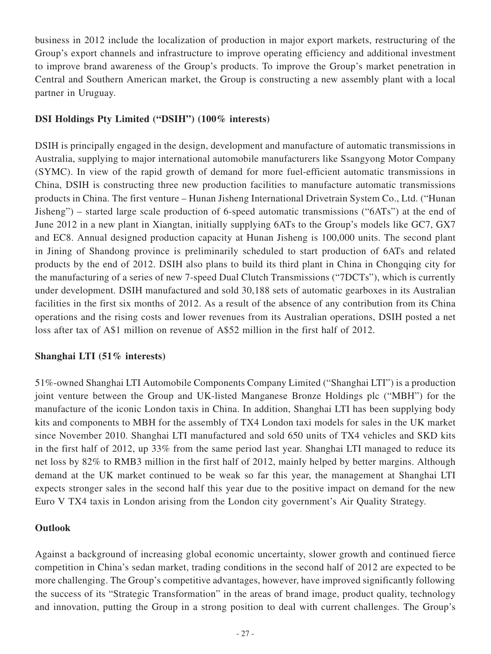business in 2012 include the localization of production in major export markets, restructuring of the Group's export channels and infrastructure to improve operating efficiency and additional investment to improve brand awareness of the Group's products. To improve the Group's market penetration in Central and Southern American market, the Group is constructing a new assembly plant with a local partner in Uruguay.

## **DSI Holdings Pty Limited ("DSIH") (100% interests)**

DSIH is principally engaged in the design, development and manufacture of automatic transmissions in Australia, supplying to major international automobile manufacturers like Ssangyong Motor Company (SYMC). In view of the rapid growth of demand for more fuel-efficient automatic transmissions in China, DSIH is constructing three new production facilities to manufacture automatic transmissions products in China. The first venture – Hunan Jisheng International Drivetrain System Co., Ltd. ("Hunan Jisheng") – started large scale production of 6-speed automatic transmissions ("6ATs") at the end of June 2012 in a new plant in Xiangtan, initially supplying 6ATs to the Group's models like GC7, GX7 and EC8. Annual designed production capacity at Hunan Jisheng is 100,000 units. The second plant in Jining of Shandong province is preliminarily scheduled to start production of 6ATs and related products by the end of 2012. DSIH also plans to build its third plant in China in Chongqing city for the manufacturing of a series of new 7-speed Dual Clutch Transmissions ("7DCTs"), which is currently under development. DSIH manufactured and sold 30,188 sets of automatic gearboxes in its Australian facilities in the first six months of 2012. As a result of the absence of any contribution from its China operations and the rising costs and lower revenues from its Australian operations, DSIH posted a net loss after tax of A\$1 million on revenue of A\$52 million in the first half of 2012.

## **Shanghai LTI (51% interests)**

51%-owned Shanghai LTI Automobile Components Company Limited ("Shanghai LTI") is a production joint venture between the Group and UK-listed Manganese Bronze Holdings plc ("MBH") for the manufacture of the iconic London taxis in China. In addition, Shanghai LTI has been supplying body kits and components to MBH for the assembly of TX4 London taxi models for sales in the UK market since November 2010. Shanghai LTI manufactured and sold 650 units of TX4 vehicles and SKD kits in the first half of 2012, up 33% from the same period last year. Shanghai LTI managed to reduce its net loss by 82% to RMB3 million in the first half of 2012, mainly helped by better margins. Although demand at the UK market continued to be weak so far this year, the management at Shanghai LTI expects stronger sales in the second half this year due to the positive impact on demand for the new Euro V TX4 taxis in London arising from the London city government's Air Quality Strategy.

## **Outlook**

Against a background of increasing global economic uncertainty, slower growth and continued fierce competition in China's sedan market, trading conditions in the second half of 2012 are expected to be more challenging. The Group's competitive advantages, however, have improved significantly following the success of its "Strategic Transformation" in the areas of brand image, product quality, technology and innovation, putting the Group in a strong position to deal with current challenges. The Group's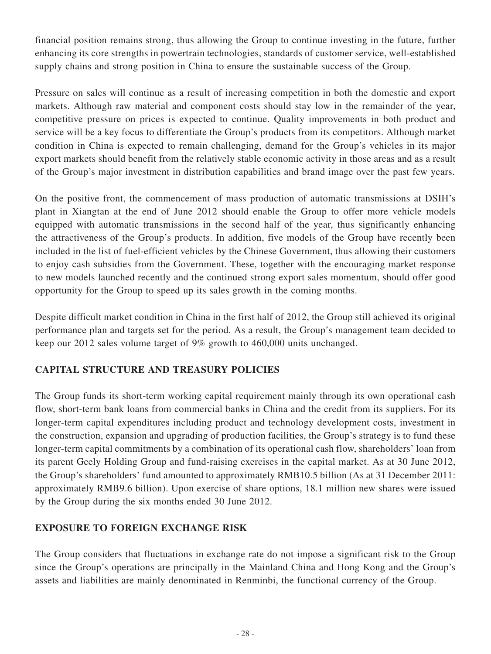financial position remains strong, thus allowing the Group to continue investing in the future, further enhancing its core strengths in powertrain technologies, standards of customer service, well-established supply chains and strong position in China to ensure the sustainable success of the Group.

Pressure on sales will continue as a result of increasing competition in both the domestic and export markets. Although raw material and component costs should stay low in the remainder of the year, competitive pressure on prices is expected to continue. Quality improvements in both product and service will be a key focus to differentiate the Group's products from its competitors. Although market condition in China is expected to remain challenging, demand for the Group's vehicles in its major export markets should benefit from the relatively stable economic activity in those areas and as a result of the Group's major investment in distribution capabilities and brand image over the past few years.

On the positive front, the commencement of mass production of automatic transmissions at DSIH's plant in Xiangtan at the end of June 2012 should enable the Group to offer more vehicle models equipped with automatic transmissions in the second half of the year, thus significantly enhancing the attractiveness of the Group's products. In addition, five models of the Group have recently been included in the list of fuel-efficient vehicles by the Chinese Government, thus allowing their customers to enjoy cash subsidies from the Government. These, together with the encouraging market response to new models launched recently and the continued strong export sales momentum, should offer good opportunity for the Group to speed up its sales growth in the coming months.

Despite difficult market condition in China in the first half of 2012, the Group still achieved its original performance plan and targets set for the period. As a result, the Group's management team decided to keep our 2012 sales volume target of 9% growth to 460,000 units unchanged.

## **CAPITAL STRUCTURE AND TREASURY POLICIES**

The Group funds its short-term working capital requirement mainly through its own operational cash flow, short-term bank loans from commercial banks in China and the credit from its suppliers. For its longer-term capital expenditures including product and technology development costs, investment in the construction, expansion and upgrading of production facilities, the Group's strategy is to fund these longer-term capital commitments by a combination of its operational cash flow, shareholders' loan from its parent Geely Holding Group and fund-raising exercises in the capital market. As at 30 June 2012, the Group's shareholders' fund amounted to approximately RMB10.5 billion (As at 31 December 2011: approximately RMB9.6 billion). Upon exercise of share options, 18.1 million new shares were issued by the Group during the six months ended 30 June 2012.

## **EXPOSURE TO FOREIGN EXCHANGE RISK**

The Group considers that fluctuations in exchange rate do not impose a significant risk to the Group since the Group's operations are principally in the Mainland China and Hong Kong and the Group's assets and liabilities are mainly denominated in Renminbi, the functional currency of the Group.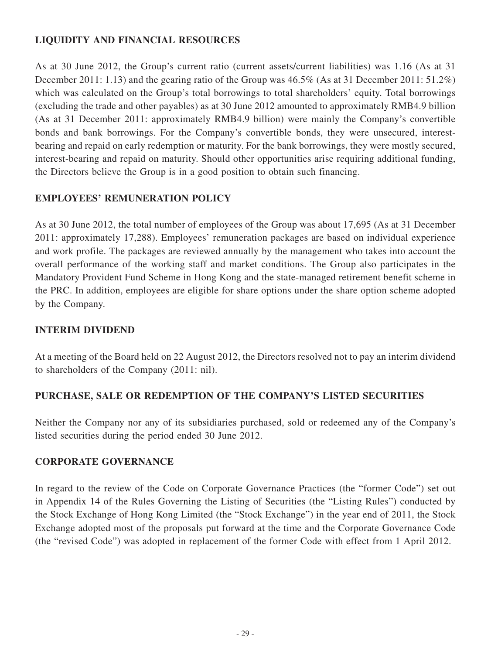## **LIQUIDITY AND FINANCIAL RESOURCES**

As at 30 June 2012, the Group's current ratio (current assets/current liabilities) was 1.16 (As at 31 December 2011: 1.13) and the gearing ratio of the Group was 46.5% (As at 31 December 2011: 51.2%) which was calculated on the Group's total borrowings to total shareholders' equity. Total borrowings (excluding the trade and other payables) as at 30 June 2012 amounted to approximately RMB4.9 billion (As at 31 December 2011: approximately RMB4.9 billion) were mainly the Company's convertible bonds and bank borrowings. For the Company's convertible bonds, they were unsecured, interestbearing and repaid on early redemption or maturity. For the bank borrowings, they were mostly secured, interest-bearing and repaid on maturity. Should other opportunities arise requiring additional funding, the Directors believe the Group is in a good position to obtain such financing.

## **EMPLOYEES' REMUNERATION POLICY**

As at 30 June 2012, the total number of employees of the Group was about 17,695 (As at 31 December 2011: approximately 17,288). Employees' remuneration packages are based on individual experience and work profile. The packages are reviewed annually by the management who takes into account the overall performance of the working staff and market conditions. The Group also participates in the Mandatory Provident Fund Scheme in Hong Kong and the state-managed retirement benefit scheme in the PRC. In addition, employees are eligible for share options under the share option scheme adopted by the Company.

## **INTERIM DIVIDEND**

At a meeting of the Board held on 22 August 2012, the Directors resolved not to pay an interim dividend to shareholders of the Company (2011: nil).

## **PURCHASE, SALE OR REDEMPTION OF THE COMPANY'S LISTED SECURITIES**

Neither the Company nor any of its subsidiaries purchased, sold or redeemed any of the Company's listed securities during the period ended 30 June 2012.

## **CORPORATE GOVERNANCE**

In regard to the review of the Code on Corporate Governance Practices (the "former Code") set out in Appendix 14 of the Rules Governing the Listing of Securities (the "Listing Rules") conducted by the Stock Exchange of Hong Kong Limited (the "Stock Exchange") in the year end of 2011, the Stock Exchange adopted most of the proposals put forward at the time and the Corporate Governance Code (the "revised Code") was adopted in replacement of the former Code with effect from 1 April 2012.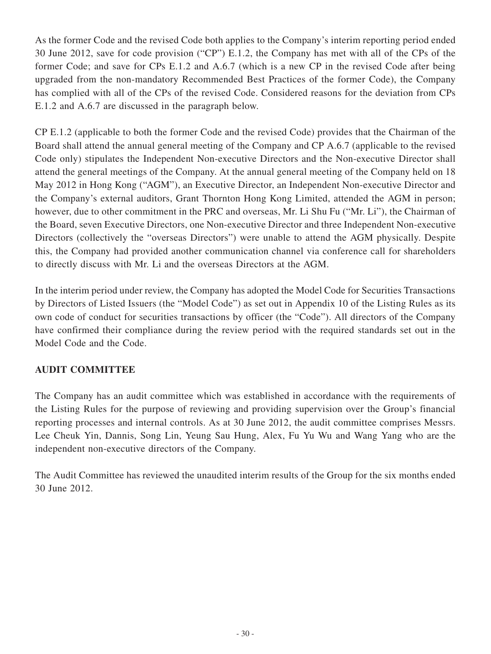As the former Code and the revised Code both applies to the Company's interim reporting period ended 30 June 2012, save for code provision ("CP") E.1.2, the Company has met with all of the CPs of the former Code; and save for CPs E.1.2 and A.6.7 (which is a new CP in the revised Code after being upgraded from the non-mandatory Recommended Best Practices of the former Code), the Company has complied with all of the CPs of the revised Code. Considered reasons for the deviation from CPs E.1.2 and A.6.7 are discussed in the paragraph below.

CP E.1.2 (applicable to both the former Code and the revised Code) provides that the Chairman of the Board shall attend the annual general meeting of the Company and CP A.6.7 (applicable to the revised Code only) stipulates the Independent Non-executive Directors and the Non-executive Director shall attend the general meetings of the Company. At the annual general meeting of the Company held on 18 May 2012 in Hong Kong ("AGM"), an Executive Director, an Independent Non-executive Director and the Company's external auditors, Grant Thornton Hong Kong Limited, attended the AGM in person; however, due to other commitment in the PRC and overseas, Mr. Li Shu Fu ("Mr. Li"), the Chairman of the Board, seven Executive Directors, one Non-executive Director and three Independent Non-executive Directors (collectively the "overseas Directors") were unable to attend the AGM physically. Despite this, the Company had provided another communication channel via conference call for shareholders to directly discuss with Mr. Li and the overseas Directors at the AGM.

In the interim period under review, the Company has adopted the Model Code for Securities Transactions by Directors of Listed Issuers (the "Model Code") as set out in Appendix 10 of the Listing Rules as its own code of conduct for securities transactions by officer (the "Code"). All directors of the Company have confirmed their compliance during the review period with the required standards set out in the Model Code and the Code.

## **AUDIT COMMITTEE**

The Company has an audit committee which was established in accordance with the requirements of the Listing Rules for the purpose of reviewing and providing supervision over the Group's financial reporting processes and internal controls. As at 30 June 2012, the audit committee comprises Messrs. Lee Cheuk Yin, Dannis, Song Lin, Yeung Sau Hung, Alex, Fu Yu Wu and Wang Yang who are the independent non-executive directors of the Company.

The Audit Committee has reviewed the unaudited interim results of the Group for the six months ended 30 June 2012.